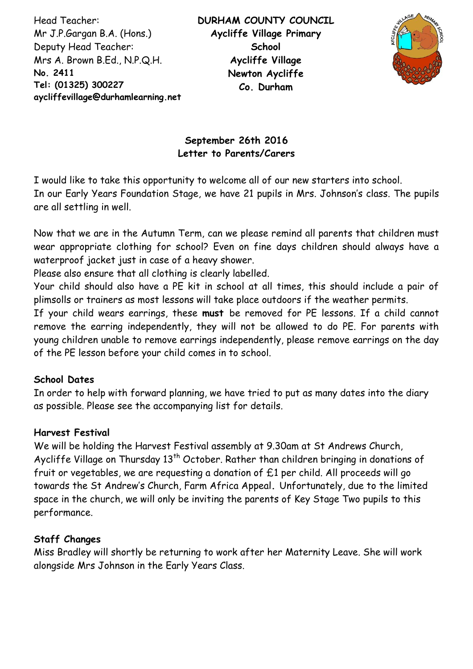Head Teacher: Mr J.P.Gargan B.A. (Hons.) Deputy Head Teacher: Mrs A. Brown B.Ed., N.P.Q.H. **No. 2411 Tel: (01325) 300227 aycliffevillage@durhamlearning.net DL5 6LG**



# **September 26th 2016 Letter to Parents/Carers**

I would like to take this opportunity to welcome all of our new starters into school. In our Early Years Foundation Stage, we have 21 pupils in Mrs. Johnson's class. The pupils are all settling in well.

Now that we are in the Autumn Term, can we please remind all parents that children must wear appropriate clothing for school? Even on fine days children should always have a waterproof jacket just in case of a heavy shower.

Please also ensure that all clothing is clearly labelled.

Your child should also have a PE kit in school at all times, this should include a pair of plimsolls or trainers as most lessons will take place outdoors if the weather permits.

If your child wears earrings, these **must** be removed for PE lessons. If a child cannot remove the earring independently, they will not be allowed to do PE. For parents with young children unable to remove earrings independently, please remove earrings on the day of the PE lesson before your child comes in to school.

#### **School Dates**

In order to help with forward planning, we have tried to put as many dates into the diary as possible. Please see the accompanying list for details.

## **Harvest Festival**

We will be holding the Harvest Festival assembly at 9.30am at St Andrews Church, Aycliffe Village on Thursday  $13<sup>th</sup>$  October. Rather than children bringing in donations of fruit or vegetables, we are requesting a donation of  $£1$  per child. All proceeds will go towards the St Andrew's Church, Farm Africa Appeal**.** Unfortunately, due to the limited space in the church, we will only be inviting the parents of Key Stage Two pupils to this performance.

## **Staff Changes**

Miss Bradley will shortly be returning to work after her Maternity Leave. She will work alongside Mrs Johnson in the Early Years Class.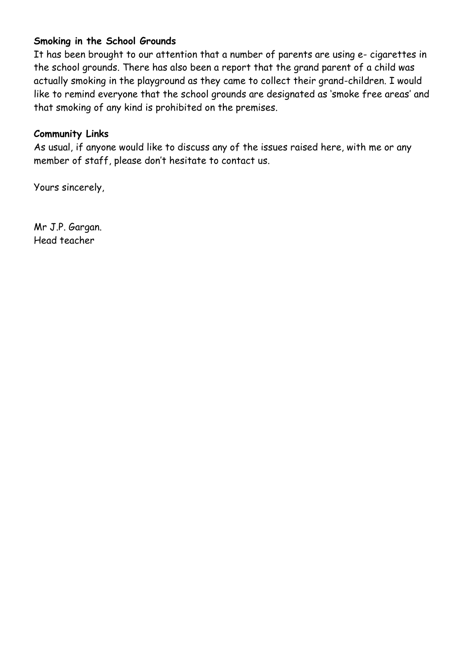### **Smoking in the School Grounds**

It has been brought to our attention that a number of parents are using e- cigarettes in the school grounds. There has also been a report that the grand parent of a child was actually smoking in the playground as they came to collect their grand-children. I would like to remind everyone that the school grounds are designated as 'smoke free areas' and that smoking of any kind is prohibited on the premises.

#### **Community Links**

As usual, if anyone would like to discuss any of the issues raised here, with me or any member of staff, please don't hesitate to contact us.

Yours sincerely,

Mr J.P. Gargan. Head teacher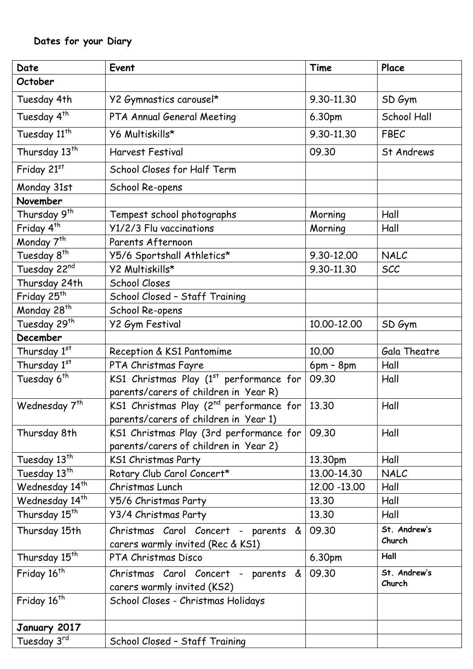| Date                       | Event                                               | Time         | Place        |
|----------------------------|-----------------------------------------------------|--------------|--------------|
| October                    |                                                     |              |              |
| Tuesday 4th                | Y2 Gymnastics carousel*                             | 9.30-11.30   | SD Gym       |
| Tuesday 4 <sup>th</sup>    | PTA Annual General Meeting                          | 6.30pm       | School Hall  |
| Tuesday 11 <sup>th</sup>   | Y6 Multiskills*                                     | 9.30-11.30   | FBEC         |
| Thursday 13 <sup>th</sup>  | <b>Harvest Festival</b>                             | 09.30        | St Andrews   |
| Friday 21st                | School Closes for Half Term                         |              |              |
| Monday 31st                | School Re-opens                                     |              |              |
| November                   |                                                     |              |              |
| Thursday 9 <sup>th</sup>   | Tempest school photographs                          | Morning      | Hall         |
| Friday $4^{\overline{th}}$ | Y1/2/3 Flu vaccinations                             | Morning      | Hall         |
| Monday 7 <sup>th</sup>     | Parents Afternoon                                   |              |              |
| Tuesday 8 <sup>th</sup>    | Y5/6 Sportshall Athletics*                          | 9.30-12.00   | NALC         |
| Tuesday 22nd               | Y2 Multiskills*                                     | 9.30-11.30   | <b>SCC</b>   |
| Thursday 24th              | <b>School Closes</b>                                |              |              |
| Friday 25 <sup>th</sup>    | School Closed - Staff Training                      |              |              |
| Monday 28 <sup>th</sup>    | School Re-opens                                     |              |              |
| Tuesday 29th               | <b>Y2 Gym Festival</b>                              | 10.00-12.00  | SD Gym       |
| December                   |                                                     |              |              |
| Thursday 1st               | Reception & KS1 Pantomime                           | 10.00        | Gala Theatre |
| Thursday 1st               | PTA Christmas Fayre                                 | $6pm - 8pm$  | Hall         |
| Tuesday 6 <sup>th</sup>    | KS1 Christmas Play $(1st$ performance for           | 09.30        | Hall         |
|                            | parents/carers of children in Year R)               |              |              |
| Wednesday 7 <sup>th</sup>  | KS1 Christmas Play (2 <sup>nd</sup> performance for | 13.30        | Hall         |
|                            | parents/carers of children in Year 1)               |              |              |
| Thursday 8th               | KS1 Christmas Play (3rd performance for             | 09.30        | Hall         |
|                            | parents/carers of children in Year 2)               |              |              |
| Tuesday 13 <sup>th</sup>   | KS1 Christmas Party                                 | 13.30pm      | Hall         |
| Tuesday 13 <sup>th</sup>   | Rotary Club Carol Concert*                          | 13.00-14.30  | NALC         |
| Wednesday 14 <sup>th</sup> | Christmas Lunch                                     | 12.00 -13.00 | Hall         |
| Wednesday 14 <sup>th</sup> | Y5/6 Christmas Party                                | 13.30        | Hall         |
| Thursday 15 <sup>th</sup>  | Y3/4 Christmas Party                                | 13.30        | Hall         |
| Thursday 15th              | Christmas Carol Concert - parents &                 | 09.30        | St. Andrew's |
|                            | carers warmly invited (Rec & KS1)                   |              | Church       |
| Thursday 15 <sup>th</sup>  | PTA Christmas Disco                                 | 6.30pm       | Hall         |
| Friday 16 <sup>th</sup>    | Christmas Carol Concert - parents &                 | 09.30        | St. Andrew's |
|                            | carers warmly invited (KS2)                         |              | Church       |
| Friday 16 <sup>th</sup>    | School Closes - Christmas Holidays                  |              |              |
|                            |                                                     |              |              |
| January 2017               |                                                     |              |              |
| Tuesday 3rd                | School Closed - Staff Training                      |              |              |